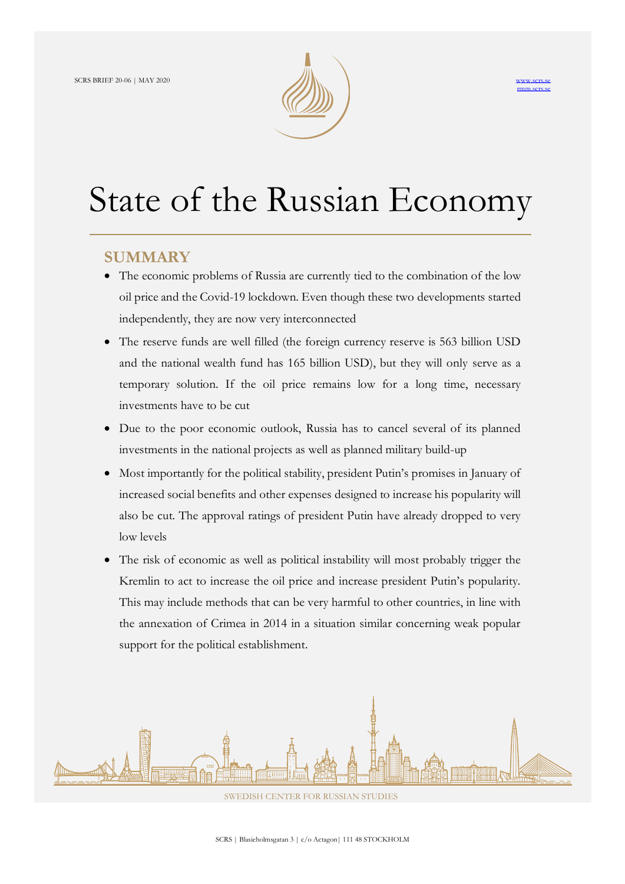



# State of the Russian Economy

# **SUMMARY**

- The economic problems of Russia are currently tied to the combination of the low oil price and the Covid-19 lockdown. Even though these two developments started independently, they are now very interconnected
- The reserve funds are well filled (the foreign currency reserve is 563 billion USD and the national wealth fund has 165 billion USD), but they will only serve as a temporary solution. If the oil price remains low for a long time, necessary investments have to be cut
- Due to the poor economic outlook, Russia has to cancel several of its planned investments in the national projects as well as planned military build-up
- Most importantly for the political stability, president Putin's promises in January of increased social benefits and other expenses designed to increase his popularity will also be cut. The approval ratings of president Putin have already dropped to very low levels
- The risk of economic as well as political instability will most probably trigger the Kremlin to act to increase the oil price and increase president Putin's popularity. This may include methods that can be very harmful to other countries, in line with the annexation of Crimea in 2014 in a situation similar concerning weak popular support for the political establishment.



SWEDISH CENTER FOR RUSSIAN STUDIES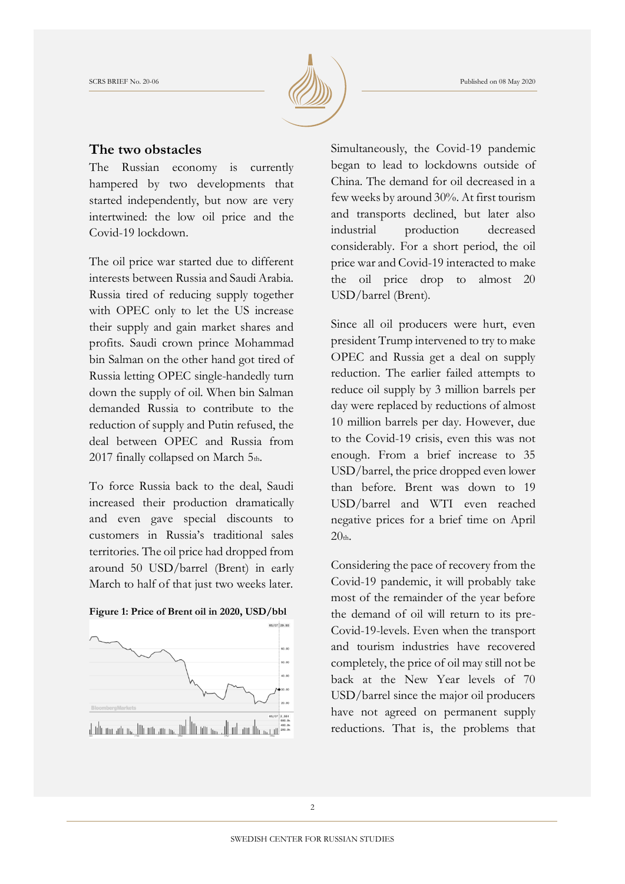

#### **The two obstacles**

The Russian economy is currently hampered by two developments that started independently, but now are very intertwined: the low oil price and the Covid-19 lockdown.

The oil price war started due to different interests between Russia and Saudi Arabia. Russia tired of reducing supply together with OPEC only to let the US increase their supply and gain market shares and profits. Saudi crown prince Mohammad bin Salman on the other hand got tired of Russia letting OPEC single-handedly turn down the supply of oil. When bin Salman demanded Russia to contribute to the reduction of supply and Putin refused, the deal between OPEC and Russia from 2017 finally collapsed on March 5th.

To force Russia back to the deal, Saudi increased their production dramatically and even gave special discounts to customers in Russia's traditional sales territories. The oil price had dropped from around 50 USD/barrel (Brent) in early March to half of that just two weeks later.





Simultaneously, the Covid-19 pandemic began to lead to lockdowns outside of China. The demand for oil decreased in a few weeks by around 30%. At first tourism and transports declined, but later also industrial production decreased considerably. For a short period, the oil price war and Covid-19 interacted to make the oil price drop to almost 20 USD/barrel (Brent).

Since all oil producers were hurt, even president Trump intervened to try to make OPEC and Russia get a deal on supply reduction. The earlier failed attempts to reduce oil supply by 3 million barrels per day were replaced by reductions of almost 10 million barrels per day. However, due to the Covid-19 crisis, even this was not enough. From a brief increase to 35 USD/barrel, the price dropped even lower than before. Brent was down to 19 USD/barrel and WTI even reached negative prices for a brief time on April  $20<sub>th</sub>$ 

Considering the pace of recovery from the Covid-19 pandemic, it will probably take most of the remainder of the year before the demand of oil will return to its pre-Covid-19-levels. Even when the transport and tourism industries have recovered completely, the price of oil may still not be back at the New Year levels of 70 USD/barrel since the major oil producers have not agreed on permanent supply reductions. That is, the problems that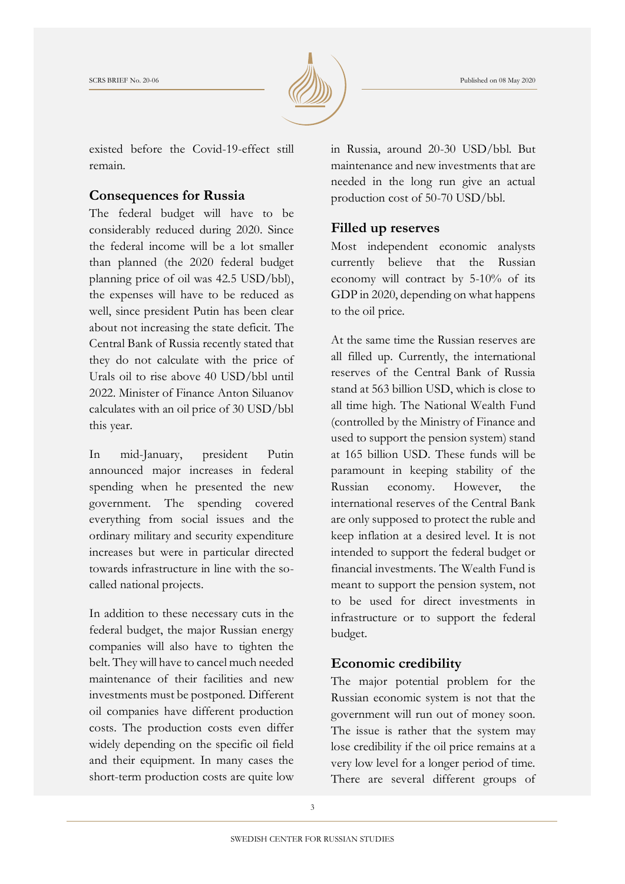

existed before the Covid-19-effect still remain.

#### **Consequences for Russia**

The federal budget will have to be considerably reduced during 2020. Since the federal income will be a lot smaller than planned (the 2020 federal budget planning price of oil was 42.5 USD/bbl), the expenses will have to be reduced as well, since president Putin has been clear about not increasing the state deficit. The Central Bank of Russia recently stated that they do not calculate with the price of Urals oil to rise above 40 USD/bbl until 2022. Minister of Finance Anton Siluanov calculates with an oil price of 30 USD/bbl this year.

In mid-January, president Putin announced major increases in federal spending when he presented the new government. The spending covered everything from social issues and the ordinary military and security expenditure increases but were in particular directed towards infrastructure in line with the socalled national projects.

In addition to these necessary cuts in the federal budget, the major Russian energy companies will also have to tighten the belt. They will have to cancel much needed maintenance of their facilities and new investments must be postponed. Different oil companies have different production costs. The production costs even differ widely depending on the specific oil field and their equipment. In many cases the short-term production costs are quite low

in Russia, around 20-30 USD/bbl. But maintenance and new investments that are needed in the long run give an actual production cost of 50-70 USD/bbl.

#### **Filled up reserves**

Most independent economic analysts currently believe that the Russian economy will contract by 5-10% of its GDP in 2020, depending on what happens to the oil price.

At the same time the Russian reserves are all filled up. Currently, the international reserves of the Central Bank of Russia stand at 563 billion USD, which is close to all time high. The National Wealth Fund (controlled by the Ministry of Finance and used to support the pension system) stand at 165 billion USD. These funds will be paramount in keeping stability of the Russian economy. However, the international reserves of the Central Bank are only supposed to protect the ruble and keep inflation at a desired level. It is not intended to support the federal budget or financial investments. The Wealth Fund is meant to support the pension system, not to be used for direct investments in infrastructure or to support the federal budget.

## **Economic credibility**

The major potential problem for the Russian economic system is not that the government will run out of money soon. The issue is rather that the system may lose credibility if the oil price remains at a very low level for a longer period of time. There are several different groups of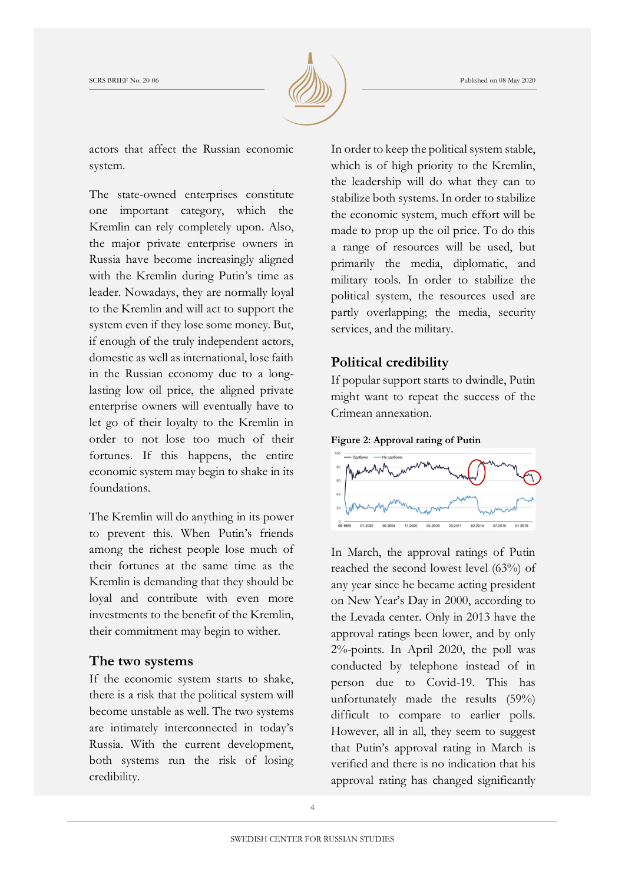

actors that affect the Russian economic system.

The state-owned enterprises constitute one important category, which the Kremlin can rely completely upon. Also, the major private enterprise owners in Russia have become increasingly aligned with the Kremlin during Putin's time as leader. Nowadays, they are normally loyal to the Kremlin and will act to support the system even if they lose some money. But, if enough of the truly independent actors, domestic as well as international, lose faith in the Russian economy due to a longlasting low oil price, the aligned private enterprise owners will eventually have to let go of their loyalty to the Kremlin in order to not lose too much of their fortunes. If this happens, the entire economic system may begin to shake in its foundations.

The Kremlin will do anything in its power to prevent this. When Putin's friends among the richest people lose much of their fortunes at the same time as the Kremlin is demanding that they should be loyal and contribute with even more investments to the benefit of the Kremlin, their commitment may begin to wither.

#### **The two systems**

If the economic system starts to shake, there is a risk that the political system will become unstable as well. The two systems are intimately interconnected in today's Russia. With the current development, both systems run the risk of losing credibility.

In order to keep the political system stable, which is of high priority to the Kremlin, the leadership will do what they can to stabilize both systems. In order to stabilize the economic system, much effort will be made to prop up the oil price. To do this a range of resources will be used, but primarily the media, diplomatic, and military tools. In order to stabilize the political system, the resources used are partly overlapping; the media, security services, and the military.

## **Political credibility**

If popular support starts to dwindle, Putin might want to repeat the success of the Crimean annexation.





In March, the approval ratings of Putin reached the second lowest level (63%) of any year since he became acting president on New Year's Day in 2000, according to the Levada center. Only in 2013 have the approval ratings been lower, and by only 2%-points. In April 2020, the poll was conducted by telephone instead of in person due to Covid-19. This has unfortunately made the results (59%) difficult to compare to earlier polls. However, all in all, they seem to suggest that Putin's approval rating in March is verified and there is no indication that his approval rating has changed significantly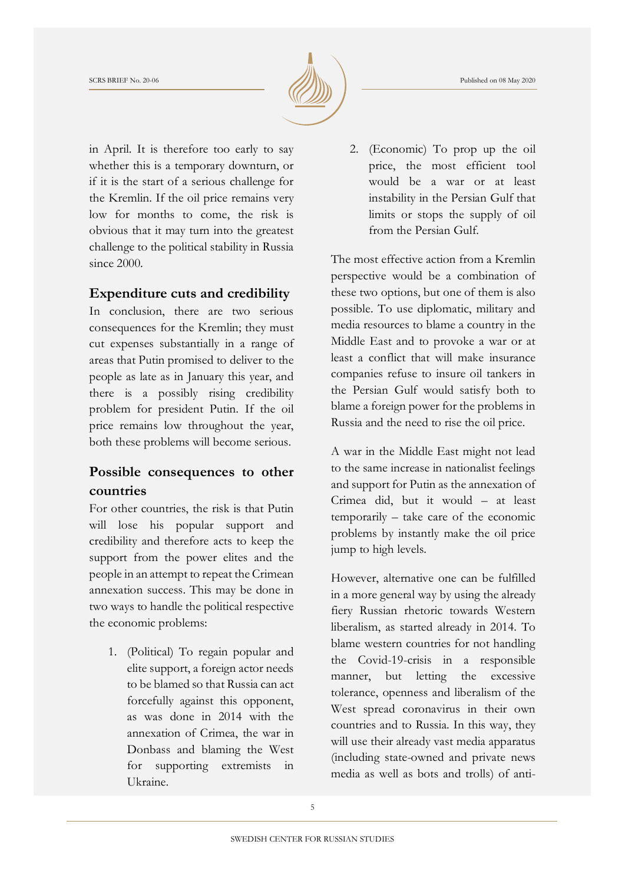

in April. It is therefore too early to say whether this is a temporary downturn, or if it is the start of a serious challenge for the Kremlin. If the oil price remains very low for months to come, the risk is obvious that it may turn into the greatest challenge to the political stability in Russia since 2000.

## **Expenditure cuts and credibility**

In conclusion, there are two serious consequences for the Kremlin; they must cut expenses substantially in a range of areas that Putin promised to deliver to the people as late as in January this year, and there is a possibly rising credibility problem for president Putin. If the oil price remains low throughout the year, both these problems will become serious.

## **Possible consequences to other countries**

For other countries, the risk is that Putin will lose his popular support and credibility and therefore acts to keep the support from the power elites and the people in an attempt to repeat the Crimean annexation success. This may be done in two ways to handle the political respective the economic problems:

1. (Political) To regain popular and elite support, a foreign actor needs to be blamed so that Russia can act forcefully against this opponent, as was done in 2014 with the annexation of Crimea, the war in Donbass and blaming the West for supporting extremists in Ukraine.

2. (Economic) To prop up the oil price, the most efficient tool would be a war or at least instability in the Persian Gulf that limits or stops the supply of oil from the Persian Gulf.

The most effective action from a Kremlin perspective would be a combination of these two options, but one of them is also possible. To use diplomatic, military and media resources to blame a country in the Middle East and to provoke a war or at least a conflict that will make insurance companies refuse to insure oil tankers in the Persian Gulf would satisfy both to blame a foreign power for the problems in Russia and the need to rise the oil price.

A war in the Middle East might not lead to the same increase in nationalist feelings and support for Putin as the annexation of Crimea did, but it would – at least temporarily – take care of the economic problems by instantly make the oil price jump to high levels.

However, alternative one can be fulfilled in a more general way by using the already fiery Russian rhetoric towards Western liberalism, as started already in 2014. To blame western countries for not handling the Covid-19-crisis in a responsible manner, but letting the excessive tolerance, openness and liberalism of the West spread coronavirus in their own countries and to Russia. In this way, they will use their already vast media apparatus (including state-owned and private news media as well as bots and trolls) of anti-